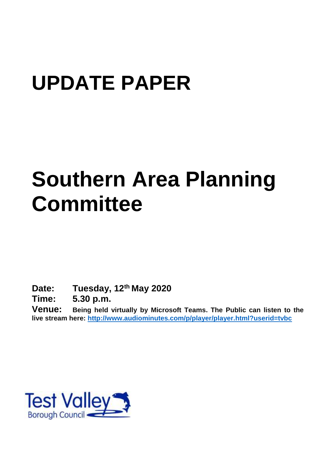# **UPDATE PAPER**

# **Southern Area Planning Committee**

**Date: Tuesday, 12th May 2020**

**Time: 5.30 p.m.**

**Venue: Being held virtually by Microsoft Teams. The Public can listen to the live stream here:<http://www.audiominutes.com/p/player/player.html?userid=tvbc>**

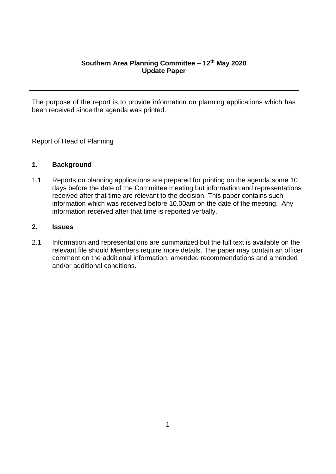## **Southern Area Planning Committee – 12th May 2020 Update Paper**

The purpose of the report is to provide information on planning applications which has been received since the agenda was printed.

Report of Head of Planning

# **1. Background**

1.1 Reports on planning applications are prepared for printing on the agenda some 10 days before the date of the Committee meeting but information and representations received after that time are relevant to the decision. This paper contains such information which was received before 10.00am on the date of the meeting. Any information received after that time is reported verbally.

## **2. Issues**

2.1 Information and representations are summarized but the full text is available on the relevant file should Members require more details. The paper may contain an officer comment on the additional information, amended recommendations and amended and/or additional conditions.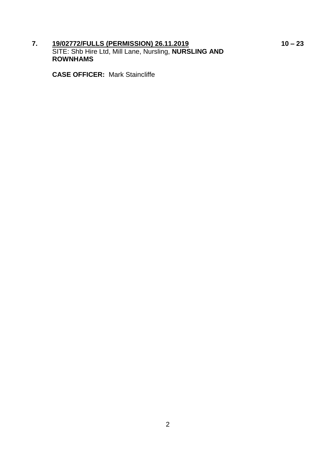**7. 19/02772/FULLS (PERMISSION) 26.11.2019 10 – 23** SITE: Shb Hire Ltd, Mill Lane, Nursling, **NURSLING AND ROWNHAMS**

**CASE OFFICER:** Mark Staincliffe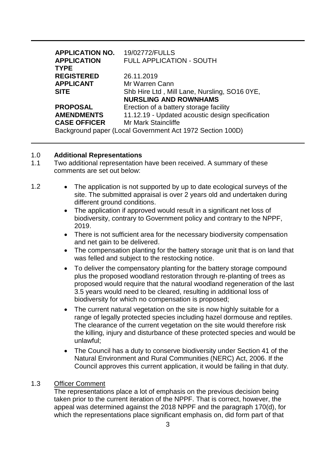| <b>APPLICATION NO.</b>                                    | 19/02772/FULLS                                   |
|-----------------------------------------------------------|--------------------------------------------------|
| <b>APPLICATION</b>                                        | FULL APPLICATION - SOUTH                         |
| <b>TYPE</b>                                               |                                                  |
| <b>REGISTERED</b>                                         | 26.11.2019                                       |
| <b>APPLICANT</b>                                          | Mr Warren Cann                                   |
| <b>SITE</b>                                               | Shb Hire Ltd, Mill Lane, Nursling, SO16 0YE,     |
|                                                           | <b>NURSLING AND ROWNHAMS</b>                     |
| <b>PROPOSAL</b>                                           | Erection of a battery storage facility           |
| <b>AMENDMENTS</b>                                         | 11.12.19 - Updated acoustic design specification |
| <b>CASE OFFICER</b>                                       | Mr Mark Staincliffe                              |
| Background paper (Local Government Act 1972 Section 100D) |                                                  |

#### 1.0 **Additional Representations**

- 1.1 Two additional representation have been received. A summary of these comments are set out below:
- 1.2 The application is not supported by up to date ecological surveys of the site. The submitted appraisal is over 2 years old and undertaken during different ground conditions.
	- The application if approved would result in a significant net loss of biodiversity, contrary to Government policy and contrary to the NPPF, 2019.
	- There is not sufficient area for the necessary biodiversity compensation and net gain to be delivered.
	- The compensation planting for the battery storage unit that is on land that was felled and subject to the restocking notice.
	- To deliver the compensatory planting for the battery storage compound plus the proposed woodland restoration through re-planting of trees as proposed would require that the natural woodland regeneration of the last 3.5 years would need to be cleared, resulting in additional loss of biodiversity for which no compensation is proposed;
	- The current natural vegetation on the site is now highly suitable for a range of legally protected species including hazel dormouse and reptiles. The clearance of the current vegetation on the site would therefore risk the killing, injury and disturbance of these protected species and would be unlawful;
	- The Council has a duty to conserve biodiversity under Section 41 of the Natural Environment and Rural Communities (NERC) Act, 2006. If the Council approves this current application, it would be failing in that duty.

#### 1.3 Officer Comment

The representations place a lot of emphasis on the previous decision being taken prior to the current iteration of the NPPF. That is correct, however, the appeal was determined against the 2018 NPPF and the paragraph 170(d), for which the representations place significant emphasis on, did form part of that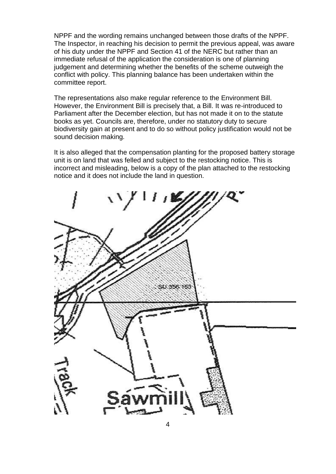NPPF and the wording remains unchanged between those drafts of the NPPF. The Inspector, in reaching his decision to permit the previous appeal, was aware of his duty under the NPPF and Section 41 of the NERC but rather than an immediate refusal of the application the consideration is one of planning judgement and determining whether the benefits of the scheme outweigh the conflict with policy. This planning balance has been undertaken within the committee report.

The representations also make regular reference to the Environment Bill. However, the Environment Bill is precisely that, a Bill. It was re-introduced to Parliament after the December election, but has not made it on to the statute books as yet. Councils are, therefore, under no statutory duty to secure biodiversity gain at present and to do so without policy justification would not be sound decision making.

It is also alleged that the compensation planting for the proposed battery storage unit is on land that was felled and subject to the restocking notice. This is incorrect and misleading, below is a copy of the plan attached to the restocking notice and it does not include the land in question.